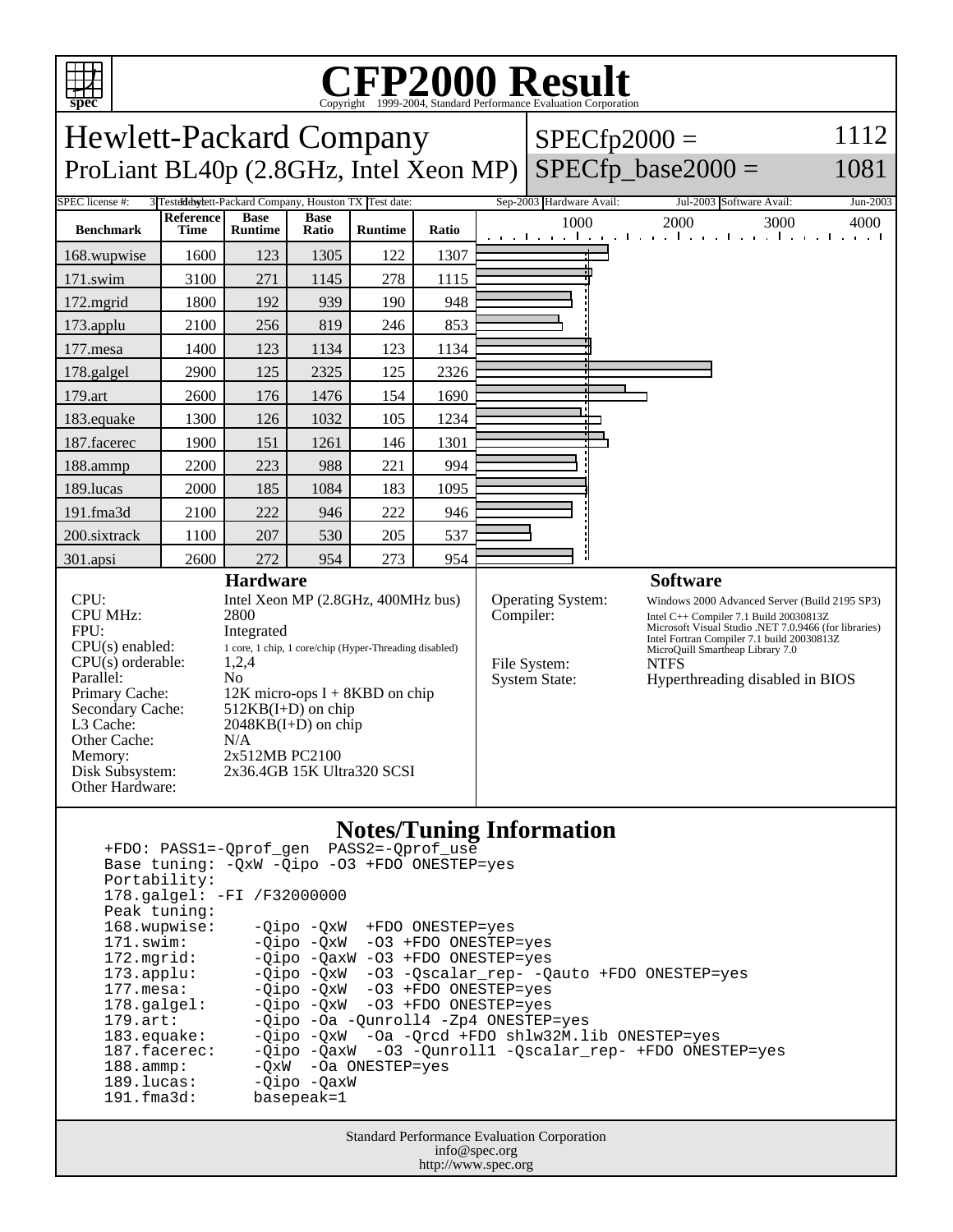

## **Notes/Tuning Information**

 +FDO: PASS1=-Qprof\_gen PASS2=-Qprof\_use Base tuning: -QxW -Qipo -O3 +FDO ONESTEP=yes Portability: 178.galgel: -FI /F32000000 Peak tuning: 168.wupwise: -Qipo -QxW +FDO ONESTEP=yes 171.swim: -Qipo -QxW -O3 +FDO ONESTEP=yes 172.mgrid: - -Qipo -QaxW -O3 +FDO ONESTEP=yes<br>173.applu: - -Qipo -QxW -O3 -Qscalar\_rep- -Q 173.applu: -Qipo -QxW -O3 -Qscalar\_rep- -Qauto +FDO ONESTEP=yes<br>177.mesa: - -Qipo -QxW -O3 +FDO ONESTEP=yes -Qipo -QxW -O3 +FDO ONESTEP=yes 178.galgel: -Qipo -QxW -O3 +FDO ONESTEP=yes 179.art: -Qipo -Oa -Qunroll4 -Zp4 ONESTEP=yes<br>183.equake: -Qipo -QxW -Oa -Orcd +FDO shlw32M.l 183.equake: -Qipo -QxW -Oa -Qrcd +FDO shlw32M.lib ONESTEP=yes 187.facerec: -Qipo -QaxW -O3 -Qunroll1 -Qscalar\_rep- +FDO ONESTEP=yes 188.ammp: -QxW -Oa ONESTEP=yes 189.lucas: - Qipo - QaxW 191.fma3d: basepeak=1

> Standard Performance Evaluation Corporation info@spec.org http://www.spec.org